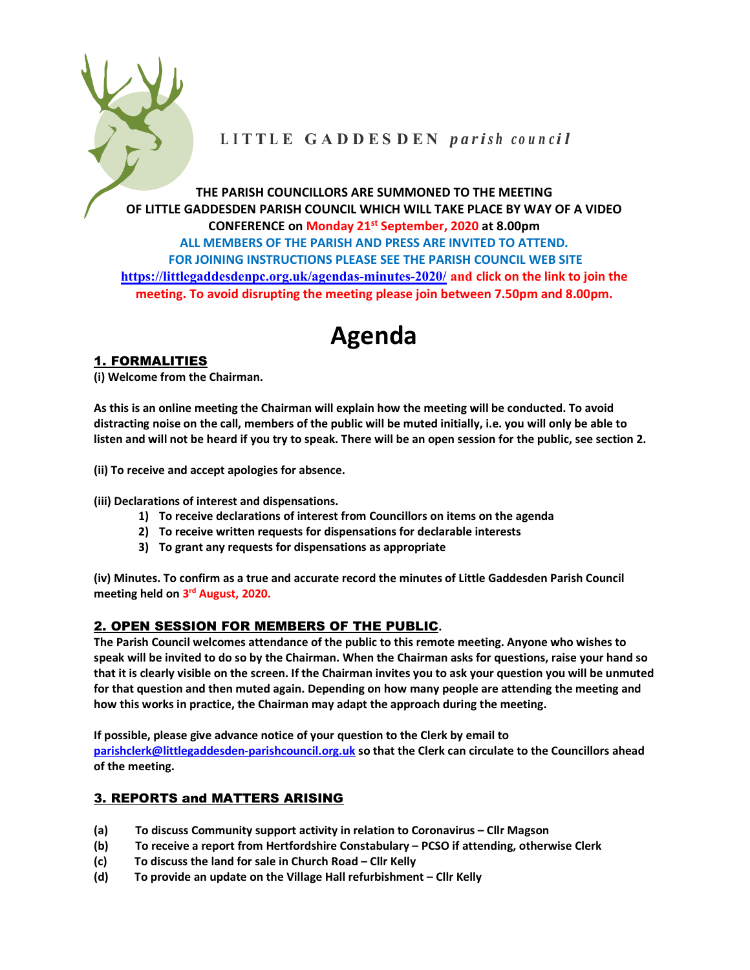

# LITTLE GADDESDEN parish council

THE PARISH COUNCILLORS ARE SUMMONED TO THE MEETING OF LITTLE GADDESDEN PARISH COUNCIL WHICH WILL TAKE PLACE BY WAY OF A VIDEO CONFERENCE on Monday 21st September, 2020 at 8.00pm ALL MEMBERS OF THE PARISH AND PRESS ARE INVITED TO ATTEND. FOR JOINING INSTRUCTIONS PLEASE SEE THE PARISH COUNCIL WEB SITE https://littlegaddesdenpc.org.uk/agendas-minutes-2020/ and click on the link to join the meeting. To avoid disrupting the meeting please join between 7.50pm and 8.00pm.

# Agenda

# 1. FORMALITIES

(i) Welcome from the Chairman.

As this is an online meeting the Chairman will explain how the meeting will be conducted. To avoid distracting noise on the call, members of the public will be muted initially, i.e. you will only be able to listen and will not be heard if you try to speak. There will be an open session for the public, see section 2.

(ii) To receive and accept apologies for absence.

(iii) Declarations of interest and dispensations.

- 1) To receive declarations of interest from Councillors on items on the agenda
- 2) To receive written requests for dispensations for declarable interests
- 3) To grant any requests for dispensations as appropriate

(iv) Minutes. To confirm as a true and accurate record the minutes of Little Gaddesden Parish Council meeting held on 3<sup>rd</sup> August, 2020.

# 2. OPEN SESSION FOR MEMBERS OF THE PUBLIC.

The Parish Council welcomes attendance of the public to this remote meeting. Anyone who wishes to speak will be invited to do so by the Chairman. When the Chairman asks for questions, raise your hand so that it is clearly visible on the screen. If the Chairman invites you to ask your question you will be unmuted for that question and then muted again. Depending on how many people are attending the meeting and how this works in practice, the Chairman may adapt the approach during the meeting.

If possible, please give advance notice of your question to the Clerk by email to parishclerk@littlegaddesden-parishcouncil.org.uk so that the Clerk can circulate to the Councillors ahead of the meeting.

# 3. REPORTS and MATTERS ARISING

- (a) To discuss Community support activity in relation to Coronavirus Cllr Magson
- (b) To receive a report from Hertfordshire Constabulary PCSO if attending, otherwise Clerk
- (c) To discuss the land for sale in Church Road Cllr Kelly
- (d) To provide an update on the Village Hall refurbishment Cllr Kelly